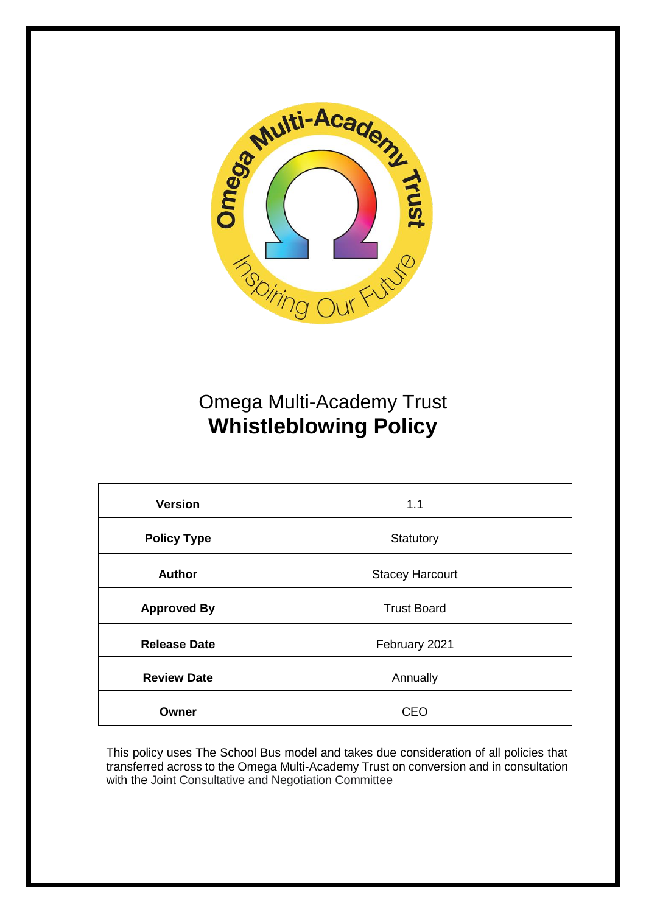

# Omega Multi-Academy Trust **Whistleblowing Policy**

| <b>Version</b>      | 1.1                    |
|---------------------|------------------------|
| <b>Policy Type</b>  | Statutory              |
| <b>Author</b>       | <b>Stacey Harcourt</b> |
| <b>Approved By</b>  | <b>Trust Board</b>     |
| <b>Release Date</b> | February 2021          |
| <b>Review Date</b>  | Annually               |
| Owner               | CEO                    |

This policy uses The School Bus model and takes due consideration of all policies that transferred across to the Omega Multi-Academy Trust on conversion and in consultation with the Joint Consultative and Negotiation Committee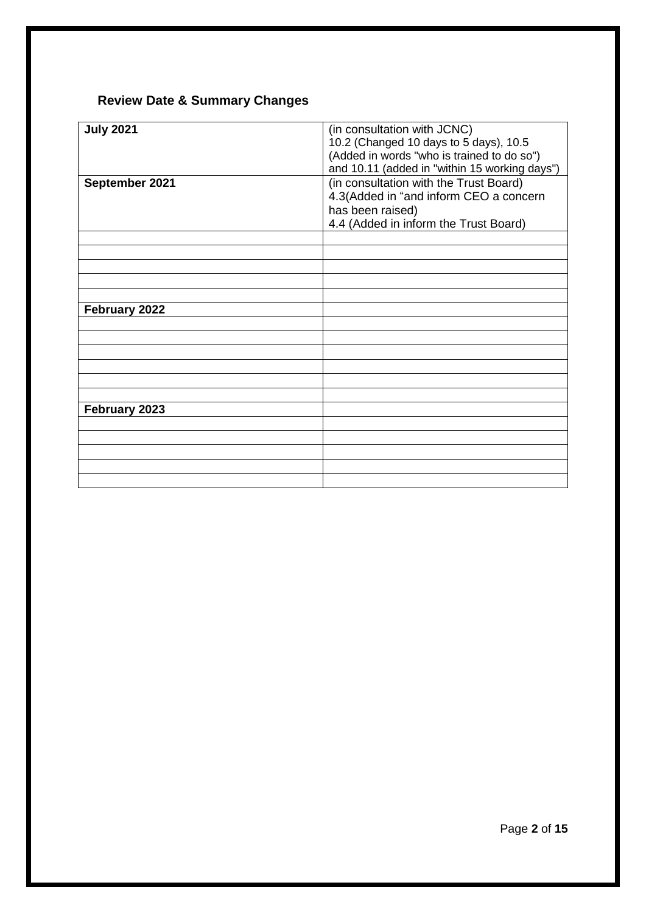### **Review Date & Summary Changes**

| <b>July 2021</b> | (in consultation with JCNC)<br>10.2 (Changed 10 days to 5 days), 10.5<br>(Added in words "who is trained to do so")<br>and 10.11 (added in "within 15 working days") |
|------------------|----------------------------------------------------------------------------------------------------------------------------------------------------------------------|
| September 2021   | (in consultation with the Trust Board)<br>4.3(Added in "and inform CEO a concern<br>has been raised)<br>4.4 (Added in inform the Trust Board)                        |
|                  |                                                                                                                                                                      |
|                  |                                                                                                                                                                      |
|                  |                                                                                                                                                                      |
|                  |                                                                                                                                                                      |
|                  |                                                                                                                                                                      |
| February 2022    |                                                                                                                                                                      |
|                  |                                                                                                                                                                      |
|                  |                                                                                                                                                                      |
|                  |                                                                                                                                                                      |
|                  |                                                                                                                                                                      |
|                  |                                                                                                                                                                      |
|                  |                                                                                                                                                                      |
| February 2023    |                                                                                                                                                                      |
|                  |                                                                                                                                                                      |
|                  |                                                                                                                                                                      |
|                  |                                                                                                                                                                      |
|                  |                                                                                                                                                                      |
|                  |                                                                                                                                                                      |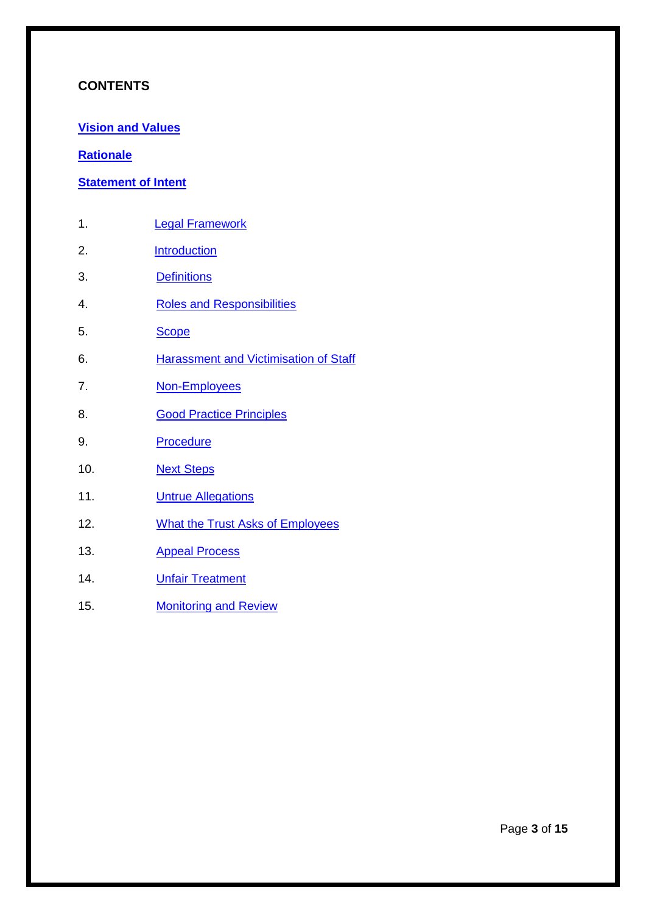#### **CONTENTS**

**[Vision and Values](#page-3-0)**

#### **[Rationale](#page-4-0)**

#### **[Statement of Intent](#page-5-0)**

- 1. **[Legal Framework](#page-6-0)**
- 2. [Introduction](#page-6-1)
- 3. [Definitions](#page-7-0)
- 4. [Roles and Responsibilities](#page-8-0)
- 5. [Scope](#page-9-0)
- 6. Harassment [and Victimisation of Staff](#page-9-1)
- 7. [Non-Employees](#page-10-0)
- 8. **[Good Practice Principles](#page-10-1)**
- 9. [Procedure](#page-11-0)
- 10. [Next Steps](#page-12-0)
- 11. **[Untrue Allegations](#page-14-0)**
- 12. What the [Trust Asks of Employees](#page-14-1)
- 13. [Appeal Process](#page-14-2)
- 14. **[Unfair Treatment](#page-14-3)**
- 15. [Monitoring and Review](#page-14-4)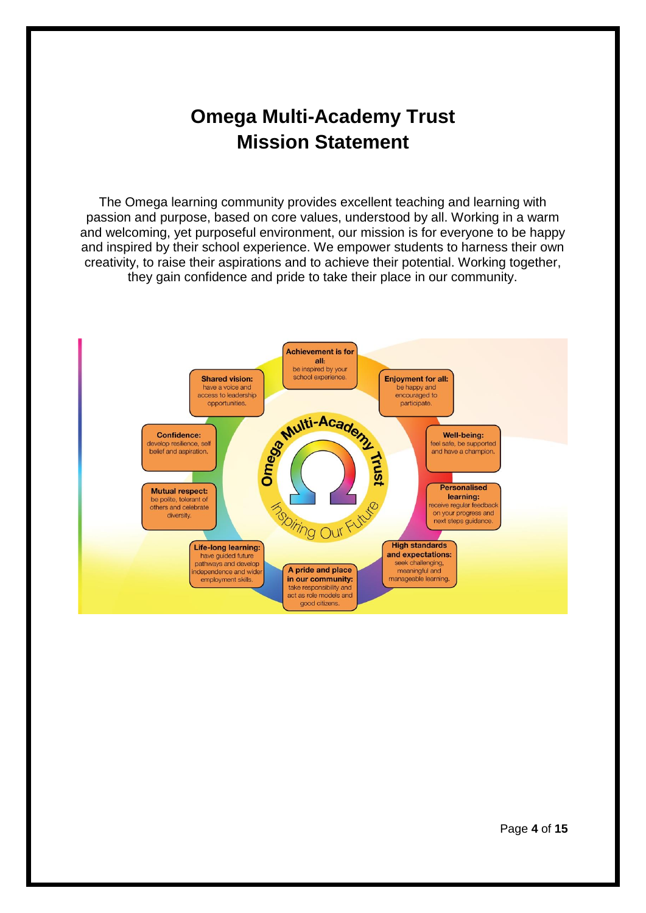## **Omega Multi-Academy Trust Mission Statement**

<span id="page-3-0"></span>The Omega learning community provides excellent teaching and learning with passion and purpose, based on core values, understood by all. Working in a warm and welcoming, yet purposeful environment, our mission is for everyone to be happy and inspired by their school experience. We empower students to harness their own creativity, to raise their aspirations and to achieve their potential. Working together, they gain confidence and pride to take their place in our community.

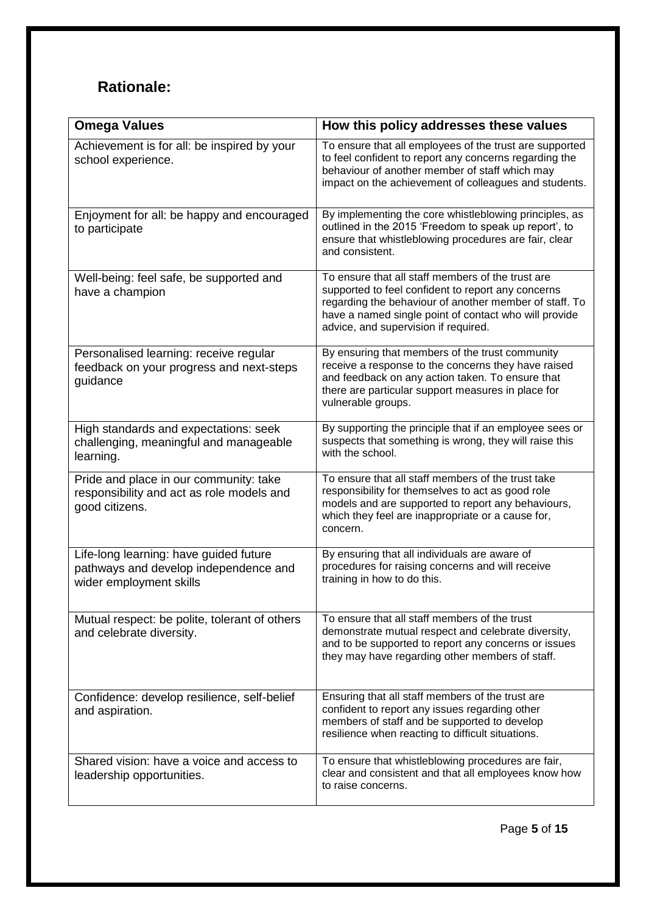## <span id="page-4-0"></span>**Rationale:**

| <b>Omega Values</b>                                                                                        | How this policy addresses these values                                                                                                                                                                                                                             |
|------------------------------------------------------------------------------------------------------------|--------------------------------------------------------------------------------------------------------------------------------------------------------------------------------------------------------------------------------------------------------------------|
| Achievement is for all: be inspired by your<br>school experience.                                          | To ensure that all employees of the trust are supported<br>to feel confident to report any concerns regarding the<br>behaviour of another member of staff which may<br>impact on the achievement of colleagues and students.                                       |
| Enjoyment for all: be happy and encouraged<br>to participate                                               | By implementing the core whistleblowing principles, as<br>outlined in the 2015 'Freedom to speak up report', to<br>ensure that whistleblowing procedures are fair, clear<br>and consistent.                                                                        |
| Well-being: feel safe, be supported and<br>have a champion                                                 | To ensure that all staff members of the trust are<br>supported to feel confident to report any concerns<br>regarding the behaviour of another member of staff. To<br>have a named single point of contact who will provide<br>advice, and supervision if required. |
| Personalised learning: receive regular<br>feedback on your progress and next-steps<br>guidance             | By ensuring that members of the trust community<br>receive a response to the concerns they have raised<br>and feedback on any action taken. To ensure that<br>there are particular support measures in place for<br>vulnerable groups.                             |
| High standards and expectations: seek<br>challenging, meaningful and manageable<br>learning.               | By supporting the principle that if an employee sees or<br>suspects that something is wrong, they will raise this<br>with the school.                                                                                                                              |
| Pride and place in our community: take<br>responsibility and act as role models and<br>good citizens.      | To ensure that all staff members of the trust take<br>responsibility for themselves to act as good role<br>models and are supported to report any behaviours,<br>which they feel are inappropriate or a cause for,<br>concern.                                     |
| Life-long learning: have guided future<br>pathways and develop independence and<br>wider employment skills | By ensuring that all individuals are aware of<br>procedures for raising concerns and will receive<br>training in how to do this.                                                                                                                                   |
| Mutual respect: be polite, tolerant of others<br>and celebrate diversity.                                  | To ensure that all staff members of the trust<br>demonstrate mutual respect and celebrate diversity,<br>and to be supported to report any concerns or issues<br>they may have regarding other members of staff.                                                    |
| Confidence: develop resilience, self-belief<br>and aspiration.                                             | Ensuring that all staff members of the trust are<br>confident to report any issues regarding other<br>members of staff and be supported to develop<br>resilience when reacting to difficult situations.                                                            |
| Shared vision: have a voice and access to<br>leadership opportunities.                                     | To ensure that whistleblowing procedures are fair,<br>clear and consistent and that all employees know how<br>to raise concerns.                                                                                                                                   |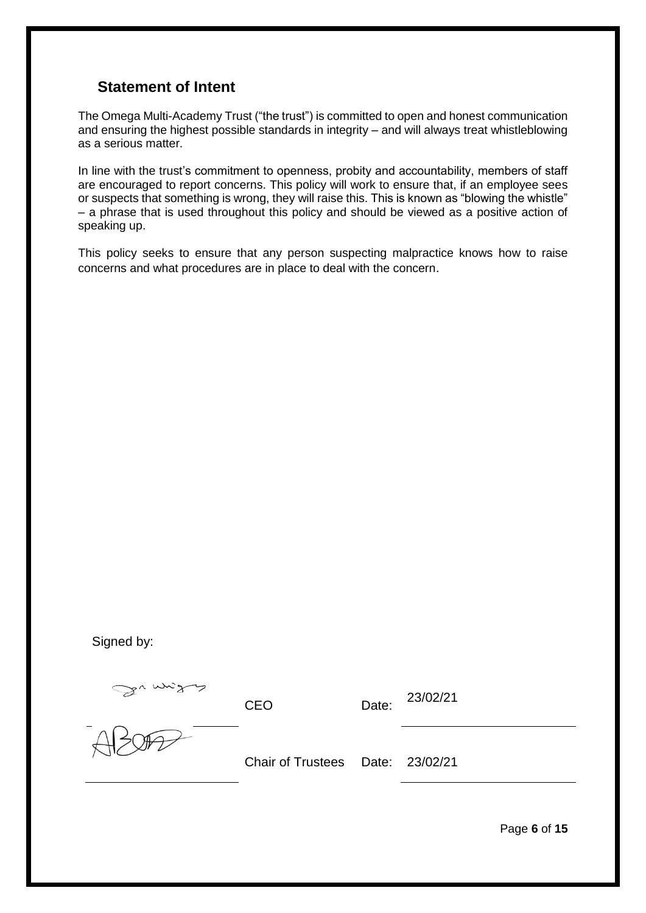#### <span id="page-5-0"></span>**Statement of Intent**

The Omega Multi-Academy Trust ("the trust") is committed to open and honest communication and ensuring the highest possible standards in integrity – and will always treat whistleblowing as a serious matter.

In line with the trust's commitment to openness, probity and accountability, members of staff are encouraged to report concerns. This policy will work to ensure that, if an employee sees or suspects that something is wrong, they will raise this. This is known as "blowing the whistle" – a phrase that is used throughout this policy and should be viewed as a positive action of speaking up.

This policy seeks to ensure that any person suspecting malpractice knows how to raise concerns and what procedures are in place to deal with the concern.

Signed by:

Suman

CEO Date: 23/02/21

Chair of Trustees Date: 23/02/21

Page **6** of **15**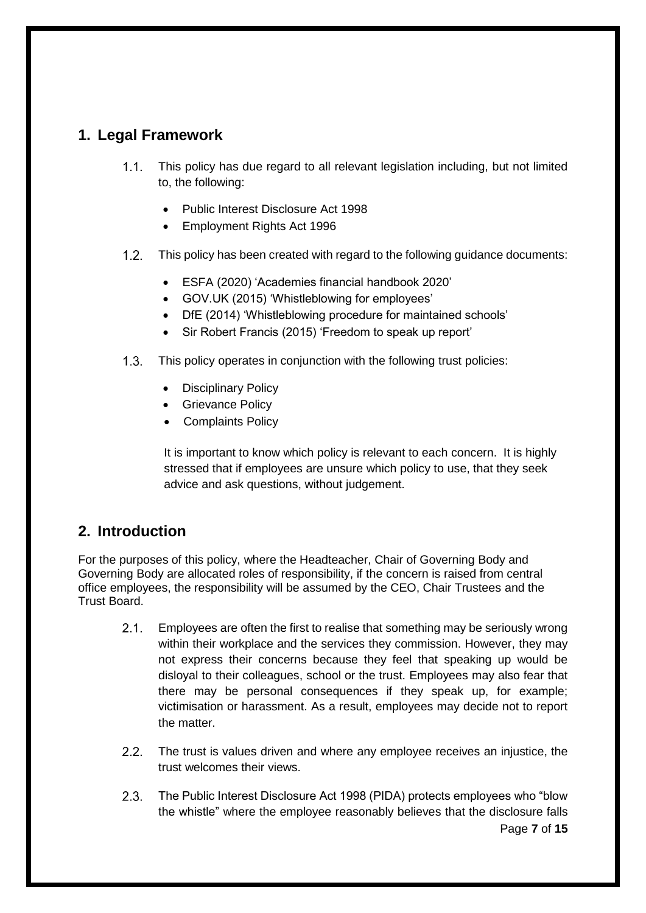## <span id="page-6-0"></span>**1. Legal Framework**

- This policy has due regard to all relevant legislation including, but not limited  $1.1.$ to, the following:
	- Public Interest Disclosure Act 1998
	- Employment Rights Act 1996
- $1.2.$ This policy has been created with regard to the following guidance documents:
	- ESFA (2020) 'Academies financial handbook 2020'
	- GOV.UK (2015) 'Whistleblowing for employees'
	- DfE (2014) 'Whistleblowing procedure for maintained schools'
	- Sir Robert Francis (2015) 'Freedom to speak up report'
- $1.3.$ This policy operates in conjunction with the following trust policies:
	- Disciplinary Policy
	- Grievance Policy
	- Complaints Policy

It is important to know which policy is relevant to each concern. It is highly stressed that if employees are unsure which policy to use, that they seek advice and ask questions, without judgement.

### <span id="page-6-1"></span>**2. Introduction**

For the purposes of this policy, where the Headteacher, Chair of Governing Body and Governing Body are allocated roles of responsibility, if the concern is raised from central office employees, the responsibility will be assumed by the CEO, Chair Trustees and the Trust Board.

- $2.1$ Employees are often the first to realise that something may be seriously wrong within their workplace and the services they commission. However, they may not express their concerns because they feel that speaking up would be disloyal to their colleagues, school or the trust. Employees may also fear that there may be personal consequences if they speak up, for example; victimisation or harassment. As a result, employees may decide not to report the matter.
- $2.2.$ The trust is values driven and where any employee receives an injustice, the trust welcomes their views.
- $2.3.$ The Public Interest Disclosure Act 1998 (PIDA) protects employees who "blow the whistle" where the employee reasonably believes that the disclosure falls Page **7** of **15**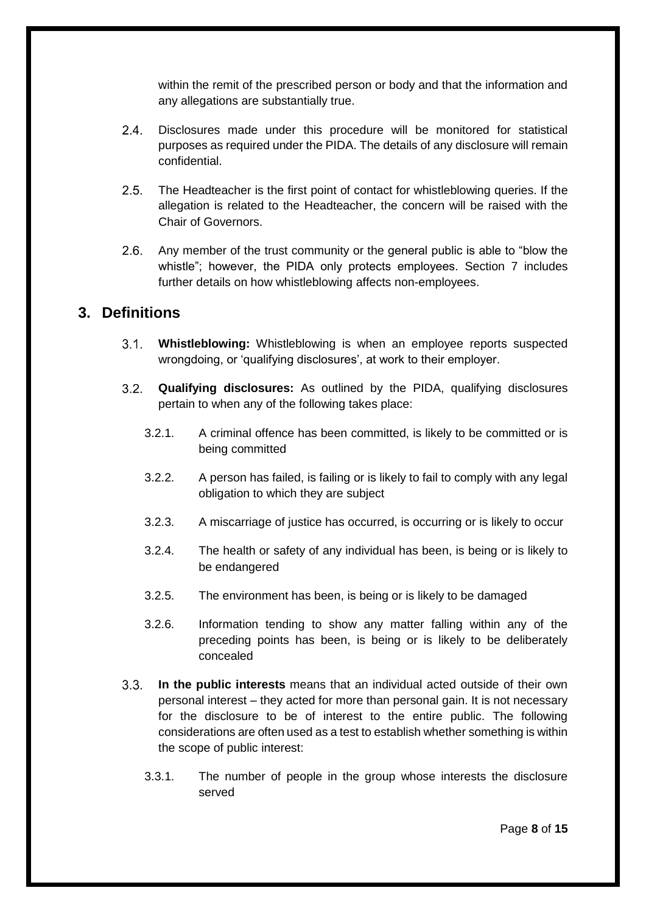within the remit of the prescribed person or body and that the information and any allegations are substantially true.

- $24$ Disclosures made under this procedure will be monitored for statistical purposes as required under the PIDA. The details of any disclosure will remain confidential.
- $2.5.$ The Headteacher is the first point of contact for whistleblowing queries. If the allegation is related to the Headteacher, the concern will be raised with the Chair of Governors.
- $2.6.$ Any member of the trust community or the general public is able to "blow the whistle"; however, the PIDA only protects employees. Section 7 includes further details on how whistleblowing affects non-employees.

#### <span id="page-7-0"></span>**3. Definitions**

- $3.1 -$ **Whistleblowing:** Whistleblowing is when an employee reports suspected wrongdoing, or 'qualifying disclosures', at work to their employer.
- $3.2.$ **Qualifying disclosures:** As outlined by the PIDA, qualifying disclosures pertain to when any of the following takes place:
	- 3.2.1. A criminal offence has been committed, is likely to be committed or is being committed
	- 3.2.2. A person has failed, is failing or is likely to fail to comply with any legal obligation to which they are subject
	- 3.2.3. A miscarriage of justice has occurred, is occurring or is likely to occur
	- 3.2.4. The health or safety of any individual has been, is being or is likely to be endangered
	- 3.2.5. The environment has been, is being or is likely to be damaged
	- 3.2.6. Information tending to show any matter falling within any of the preceding points has been, is being or is likely to be deliberately concealed
- $3.3.$ **In the public interests** means that an individual acted outside of their own personal interest – they acted for more than personal gain. It is not necessary for the disclosure to be of interest to the entire public. The following considerations are often used as a test to establish whether something is within the scope of public interest:
	- 3.3.1. The number of people in the group whose interests the disclosure served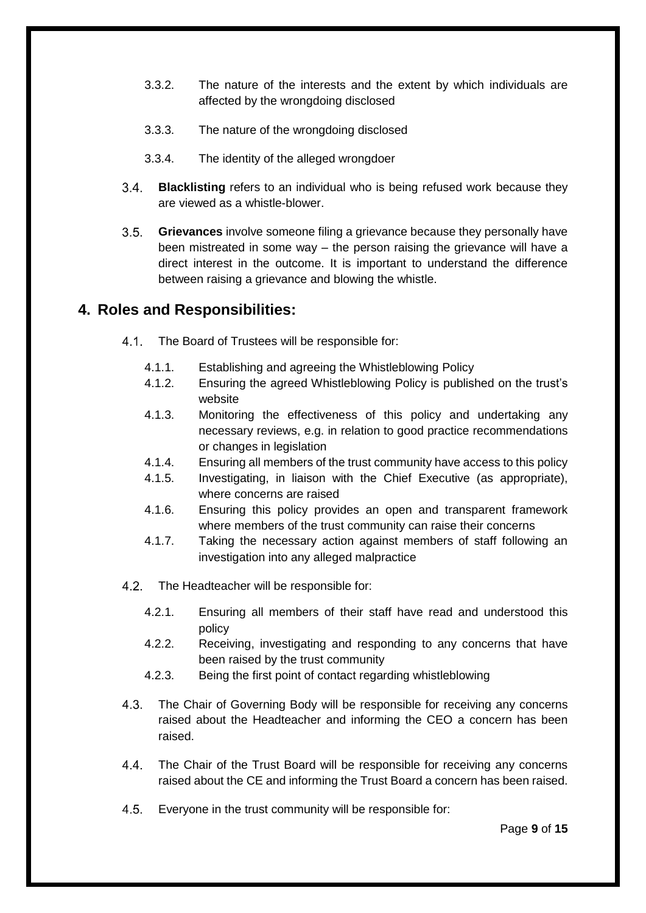- 3.3.2. The nature of the interests and the extent by which individuals are affected by the wrongdoing disclosed
- 3.3.3. The nature of the wrongdoing disclosed
- 3.3.4. The identity of the alleged wrongdoer
- $3.4.$ **Blacklisting** refers to an individual who is being refused work because they are viewed as a whistle-blower.
- $3.5.$ **Grievances** involve someone filing a grievance because they personally have been mistreated in some way – the person raising the grievance will have a direct interest in the outcome. It is important to understand the difference between raising a grievance and blowing the whistle.

#### <span id="page-8-0"></span>**4. Roles and Responsibilities:**

- $4.1$ The Board of Trustees will be responsible for:
	- 4.1.1. Establishing and agreeing the Whistleblowing Policy
	- 4.1.2. Ensuring the agreed Whistleblowing Policy is published on the trust's website
	- 4.1.3. Monitoring the effectiveness of this policy and undertaking any necessary reviews, e.g. in relation to good practice recommendations or changes in legislation
	- 4.1.4. Ensuring all members of the trust community have access to this policy
	- 4.1.5. Investigating, in liaison with the Chief Executive (as appropriate), where concerns are raised
	- 4.1.6. Ensuring this policy provides an open and transparent framework where members of the trust community can raise their concerns
	- 4.1.7. Taking the necessary action against members of staff following an investigation into any alleged malpractice
- $4.2.$ The Headteacher will be responsible for:
	- 4.2.1. Ensuring all members of their staff have read and understood this policy
	- 4.2.2. Receiving, investigating and responding to any concerns that have been raised by the trust community
	- 4.2.3. Being the first point of contact regarding whistleblowing
- $4.3.$ The Chair of Governing Body will be responsible for receiving any concerns raised about the Headteacher and informing the CEO a concern has been raised.
- $4.4.$ The Chair of the Trust Board will be responsible for receiving any concerns raised about the CE and informing the Trust Board a concern has been raised.
- $4.5.$ Everyone in the trust community will be responsible for: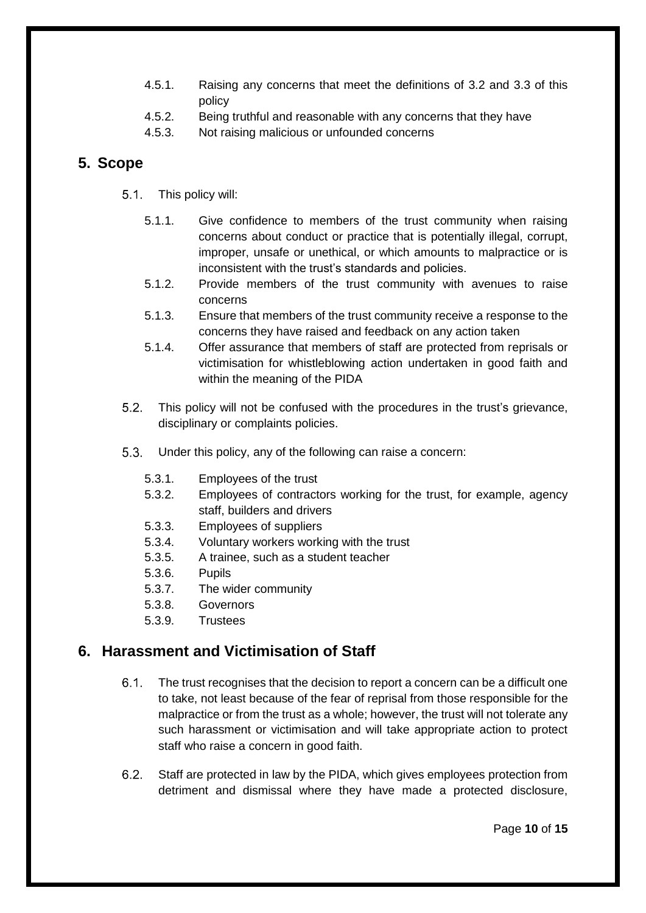- 4.5.1. Raising any concerns that meet the definitions of 3.2 and 3.3 of this policy
- 4.5.2. Being truthful and reasonable with any concerns that they have
- 4.5.3. Not raising malicious or unfounded concerns

#### <span id="page-9-0"></span>**5. Scope**

- $5.1.$ This policy will:
	- 5.1.1. Give confidence to members of the trust community when raising concerns about conduct or practice that is potentially illegal, corrupt, improper, unsafe or unethical, or which amounts to malpractice or is inconsistent with the trust's standards and policies.
	- 5.1.2. Provide members of the trust community with avenues to raise concerns
	- 5.1.3. Ensure that members of the trust community receive a response to the concerns they have raised and feedback on any action taken
	- 5.1.4. Offer assurance that members of staff are protected from reprisals or victimisation for whistleblowing action undertaken in good faith and within the meaning of the PIDA
- $5.2.$ This policy will not be confused with the procedures in the trust's grievance, disciplinary or complaints policies.
- $5.3.$ Under this policy, any of the following can raise a concern:
	- 5.3.1. Employees of the trust
	- 5.3.2. Employees of contractors working for the trust, for example, agency staff, builders and drivers
	- 5.3.3. Employees of suppliers
	- 5.3.4. Voluntary workers working with the trust
	- 5.3.5. A trainee, such as a student teacher
	- 5.3.6. Pupils
	- 5.3.7. The wider community
	- 5.3.8. Governors
	- 5.3.9. Trustees

### <span id="page-9-1"></span>**6. Harassment and Victimisation of Staff**

- $6.1.$ The trust recognises that the decision to report a concern can be a difficult one to take, not least because of the fear of reprisal from those responsible for the malpractice or from the trust as a whole; however, the trust will not tolerate any such harassment or victimisation and will take appropriate action to protect staff who raise a concern in good faith.
- $6.2.$ Staff are protected in law by the PIDA, which gives employees protection from detriment and dismissal where they have made a protected disclosure,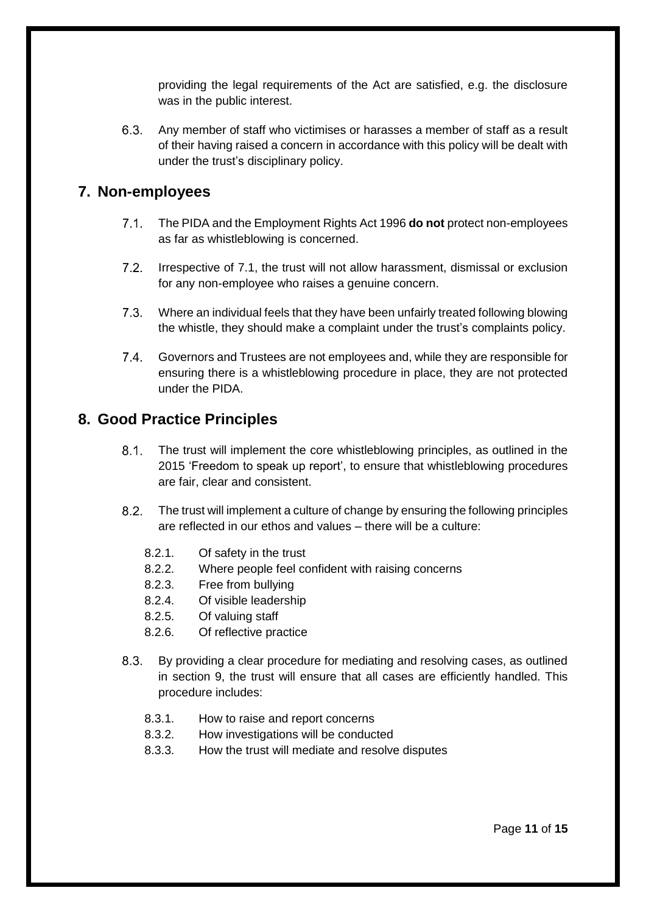providing the legal requirements of the Act are satisfied, e.g. the disclosure was in the public interest.

 $6.3.$ Any member of staff who victimises or harasses a member of staff as a result of their having raised a concern in accordance with this policy will be dealt with under the trust's disciplinary policy.

#### <span id="page-10-0"></span>**7. Non-employees**

- $7.1$ The PIDA and the Employment Rights Act 1996 **do not** protect non-employees as far as whistleblowing is concerned.
- $7.2.$ Irrespective of 7.1, the trust will not allow harassment, dismissal or exclusion for any non-employee who raises a genuine concern.
- $7.3.$ Where an individual feels that they have been unfairly treated following blowing the whistle, they should make a complaint under the trust's complaints policy.
- $7.4.$ Governors and Trustees are not employees and, while they are responsible for ensuring there is a whistleblowing procedure in place, they are not protected under the PIDA.

### <span id="page-10-1"></span>**8. Good Practice Principles**

- $8.1.$ The trust will implement the core whistleblowing principles, as outlined in the 2015 'Freedom to speak up report', to ensure that whistleblowing procedures are fair, clear and consistent.
- $8.2$ The trust will implement a culture of change by ensuring the following principles are reflected in our ethos and values – there will be a culture:
	- 8.2.1. Of safety in the trust
	- 8.2.2. Where people feel confident with raising concerns
	- 8.2.3. Free from bullying
	- 8.2.4. Of visible leadership
	- 8.2.5. Of valuing staff
	- 8.2.6. Of reflective practice
- $8.3.$ By providing a clear procedure for mediating and resolving cases, as outlined in section 9, the trust will ensure that all cases are efficiently handled. This procedure includes:
	- 8.3.1. How to raise and report concerns
	- 8.3.2. How investigations will be conducted
	- 8.3.3. How the trust will mediate and resolve disputes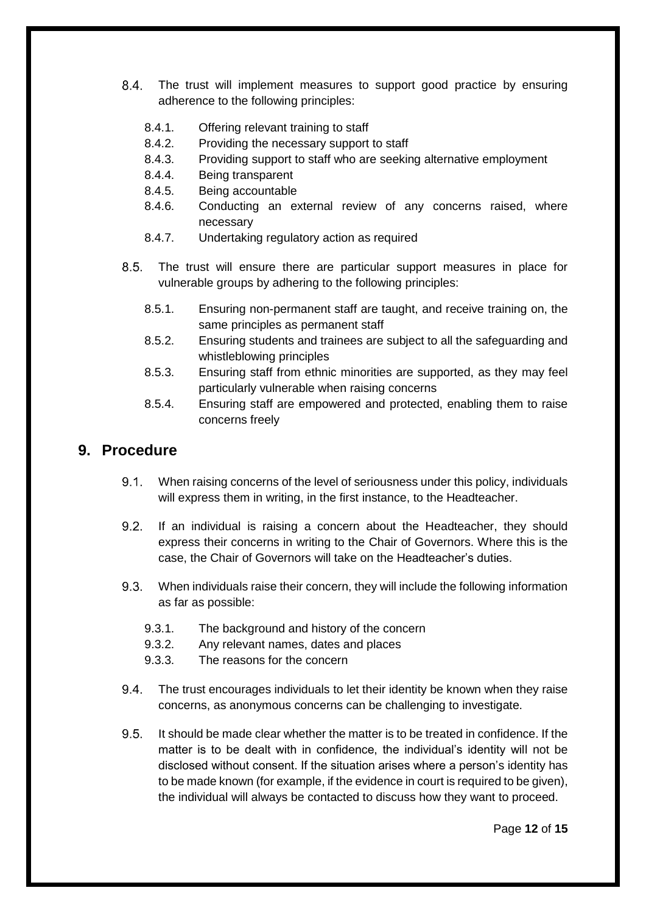- $8.4.$ The trust will implement measures to support good practice by ensuring adherence to the following principles:
	- 8.4.1. Offering relevant training to staff
	- 8.4.2. Providing the necessary support to staff
	- 8.4.3. Providing support to staff who are seeking alternative employment
	- 8.4.4. Being transparent
	- 8.4.5. Being accountable
	- 8.4.6. Conducting an external review of any concerns raised, where necessary
	- 8.4.7. Undertaking regulatory action as required
- $8.5.$ The trust will ensure there are particular support measures in place for vulnerable groups by adhering to the following principles:
	- 8.5.1. Ensuring non-permanent staff are taught, and receive training on, the same principles as permanent staff
	- 8.5.2. Ensuring students and trainees are subject to all the safeguarding and whistleblowing principles
	- 8.5.3. Ensuring staff from ethnic minorities are supported, as they may feel particularly vulnerable when raising concerns
	- 8.5.4. Ensuring staff are empowered and protected, enabling them to raise concerns freely

#### <span id="page-11-0"></span>**9. Procedure**

- $9.1.$ When raising concerns of the level of seriousness under this policy, individuals will express them in writing, in the first instance, to the Headteacher.
- $9.2.$ If an individual is raising a concern about the Headteacher, they should express their concerns in writing to the Chair of Governors. Where this is the case, the Chair of Governors will take on the Headteacher's duties.
- $9.3.$ When individuals raise their concern, they will include the following information as far as possible:
	- 9.3.1. The background and history of the concern
	- 9.3.2. Any relevant names, dates and places
	- 9.3.3. The reasons for the concern
- The trust encourages individuals to let their identity be known when they raise  $9.4.$ concerns, as anonymous concerns can be challenging to investigate.
- 9.5 It should be made clear whether the matter is to be treated in confidence. If the matter is to be dealt with in confidence, the individual's identity will not be disclosed without consent. If the situation arises where a person's identity has to be made known (for example, if the evidence in court is required to be given), the individual will always be contacted to discuss how they want to proceed.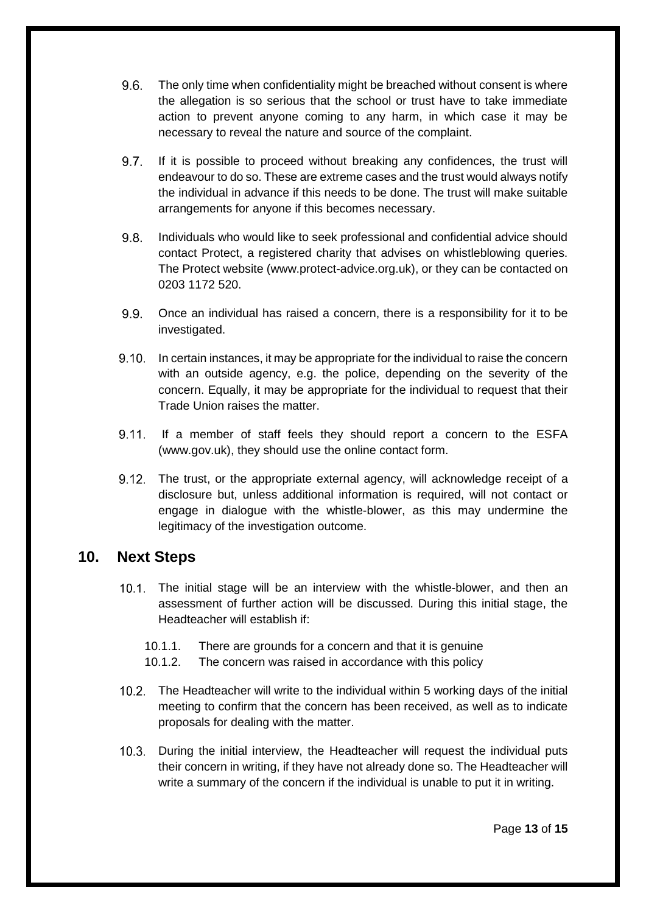- $9.6.$ The only time when confidentiality might be breached without consent is where the allegation is so serious that the school or trust have to take immediate action to prevent anyone coming to any harm, in which case it may be necessary to reveal the nature and source of the complaint.
- $9.7.$ If it is possible to proceed without breaking any confidences, the trust will endeavour to do so. These are extreme cases and the trust would always notify the individual in advance if this needs to be done. The trust will make suitable arrangements for anyone if this becomes necessary.
- $9.8$ Individuals who would like to seek professional and confidential advice should contact Protect, a registered charity that advises on whistleblowing queries. The Protect website (www.protect-advice.org.uk), or they can be contacted on 0203 1172 520.
- $9.9.$ Once an individual has raised a concern, there is a responsibility for it to be investigated.
- 9.10. In certain instances, it may be appropriate for the individual to raise the concern with an outside agency, e.g. the police, depending on the severity of the concern. Equally, it may be appropriate for the individual to request that their Trade Union raises the matter.
- 9.11. If a member of staff feels they should report a concern to the ESFA (www.gov.uk), they should use the online contact form.
- The trust, or the appropriate external agency, will acknowledge receipt of a disclosure but, unless additional information is required, will not contact or engage in dialogue with the whistle-blower, as this may undermine the legitimacy of the investigation outcome.

#### <span id="page-12-0"></span>**10. Next Steps**

- The initial stage will be an interview with the whistle-blower, and then an assessment of further action will be discussed. During this initial stage, the Headteacher will establish if:
	- 10.1.1. There are grounds for a concern and that it is genuine
	- 10.1.2. The concern was raised in accordance with this policy
- The Headteacher will write to the individual within 5 working days of the initial meeting to confirm that the concern has been received, as well as to indicate proposals for dealing with the matter.
- During the initial interview, the Headteacher will request the individual puts their concern in writing, if they have not already done so. The Headteacher will write a summary of the concern if the individual is unable to put it in writing.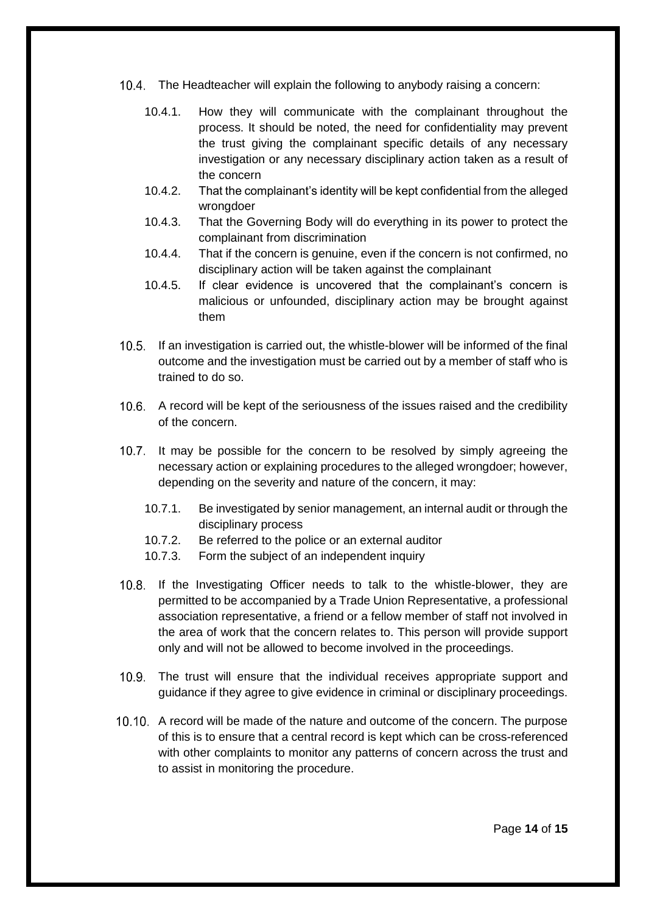- The Headteacher will explain the following to anybody raising a concern:
	- 10.4.1. How they will communicate with the complainant throughout the process. It should be noted, the need for confidentiality may prevent the trust giving the complainant specific details of any necessary investigation or any necessary disciplinary action taken as a result of the concern
	- 10.4.2. That the complainant's identity will be kept confidential from the alleged wrongdoer
	- 10.4.3. That the Governing Body will do everything in its power to protect the complainant from discrimination
	- 10.4.4. That if the concern is genuine, even if the concern is not confirmed, no disciplinary action will be taken against the complainant
	- 10.4.5. If clear evidence is uncovered that the complainant's concern is malicious or unfounded, disciplinary action may be brought against them
- If an investigation is carried out, the whistle-blower will be informed of the final outcome and the investigation must be carried out by a member of staff who is trained to do so.
- 10.6. A record will be kept of the seriousness of the issues raised and the credibility of the concern.
- 10.7. It may be possible for the concern to be resolved by simply agreeing the necessary action or explaining procedures to the alleged wrongdoer; however, depending on the severity and nature of the concern, it may:
	- 10.7.1. Be investigated by senior management, an internal audit or through the disciplinary process
	- 10.7.2. Be referred to the police or an external auditor
	- 10.7.3. Form the subject of an independent inquiry
- 10.8. If the Investigating Officer needs to talk to the whistle-blower, they are permitted to be accompanied by a Trade Union Representative, a professional association representative, a friend or a fellow member of staff not involved in the area of work that the concern relates to. This person will provide support only and will not be allowed to become involved in the proceedings.
- The trust will ensure that the individual receives appropriate support and guidance if they agree to give evidence in criminal or disciplinary proceedings.
- A record will be made of the nature and outcome of the concern. The purpose of this is to ensure that a central record is kept which can be cross-referenced with other complaints to monitor any patterns of concern across the trust and to assist in monitoring the procedure.